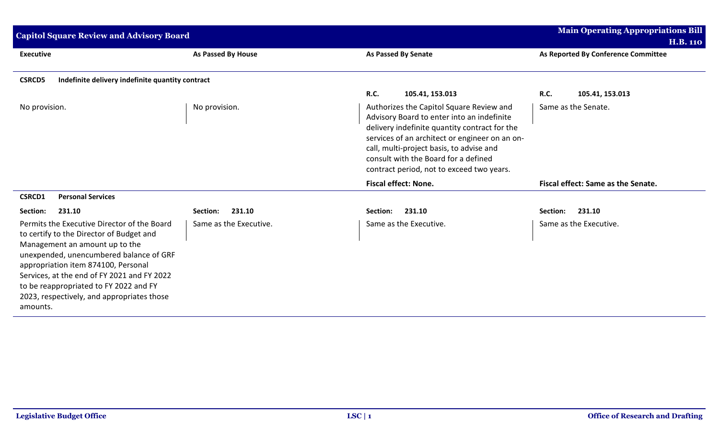| <b>Capitol Square Review and Advisory Board</b>                                                                                                                                                                                                                                                                                                                |                           |                                                                                                                                                                                                                                                                                                                            | <b>Main Operating Appropriations Bill</b><br><b>H.B. 110</b> |
|----------------------------------------------------------------------------------------------------------------------------------------------------------------------------------------------------------------------------------------------------------------------------------------------------------------------------------------------------------------|---------------------------|----------------------------------------------------------------------------------------------------------------------------------------------------------------------------------------------------------------------------------------------------------------------------------------------------------------------------|--------------------------------------------------------------|
| <b>Executive</b>                                                                                                                                                                                                                                                                                                                                               | <b>As Passed By House</b> | <b>As Passed By Senate</b>                                                                                                                                                                                                                                                                                                 | As Reported By Conference Committee                          |
| <b>CSRCD5</b><br>Indefinite delivery indefinite quantity contract                                                                                                                                                                                                                                                                                              |                           |                                                                                                                                                                                                                                                                                                                            |                                                              |
|                                                                                                                                                                                                                                                                                                                                                                |                           | <b>R.C.</b><br>105.41, 153.013                                                                                                                                                                                                                                                                                             | <b>R.C.</b><br>105.41, 153.013                               |
| No provision.                                                                                                                                                                                                                                                                                                                                                  | No provision.             | Authorizes the Capitol Square Review and<br>Advisory Board to enter into an indefinite<br>delivery indefinite quantity contract for the<br>services of an architect or engineer on an on-<br>call, multi-project basis, to advise and<br>consult with the Board for a defined<br>contract period, not to exceed two years. | Same as the Senate.                                          |
|                                                                                                                                                                                                                                                                                                                                                                |                           | <b>Fiscal effect: None.</b>                                                                                                                                                                                                                                                                                                | Fiscal effect: Same as the Senate.                           |
| <b>Personal Services</b><br><b>CSRCD1</b>                                                                                                                                                                                                                                                                                                                      |                           |                                                                                                                                                                                                                                                                                                                            |                                                              |
| Section:<br>231.10                                                                                                                                                                                                                                                                                                                                             | 231.10<br>Section:        | 231.10<br>Section:                                                                                                                                                                                                                                                                                                         | 231.10<br>Section:                                           |
| Permits the Executive Director of the Board<br>to certify to the Director of Budget and<br>Management an amount up to the<br>unexpended, unencumbered balance of GRF<br>appropriation item 874100, Personal<br>Services, at the end of FY 2021 and FY 2022<br>to be reappropriated to FY 2022 and FY<br>2023, respectively, and appropriates those<br>amounts. | Same as the Executive.    | Same as the Executive.                                                                                                                                                                                                                                                                                                     | Same as the Executive.                                       |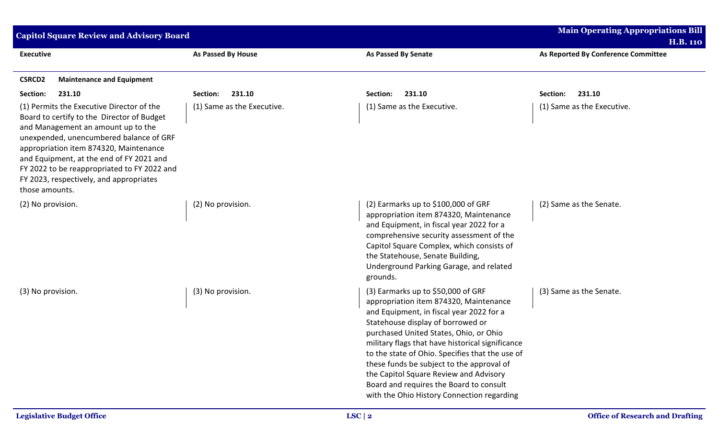| <b>Capitol Square Review and Advisory Board</b>                                                                                                                                                                                                                                                                                                                            | <b>Main Operating Appropriations Bill</b> |                                                                                                                                                                                                                                                                                                                                                                                                                                                                                                  |                                                        |
|----------------------------------------------------------------------------------------------------------------------------------------------------------------------------------------------------------------------------------------------------------------------------------------------------------------------------------------------------------------------------|-------------------------------------------|--------------------------------------------------------------------------------------------------------------------------------------------------------------------------------------------------------------------------------------------------------------------------------------------------------------------------------------------------------------------------------------------------------------------------------------------------------------------------------------------------|--------------------------------------------------------|
| <b>Executive</b>                                                                                                                                                                                                                                                                                                                                                           | As Passed By House                        | <b>As Passed By Senate</b>                                                                                                                                                                                                                                                                                                                                                                                                                                                                       | <b>H.B. 110</b><br>As Reported By Conference Committee |
| <b>CSRCD2</b><br><b>Maintenance and Equipment</b>                                                                                                                                                                                                                                                                                                                          |                                           |                                                                                                                                                                                                                                                                                                                                                                                                                                                                                                  |                                                        |
| Section:<br>231.10                                                                                                                                                                                                                                                                                                                                                         | 231.10<br>Section:                        | 231.10<br>Section:                                                                                                                                                                                                                                                                                                                                                                                                                                                                               | Section:<br>231.10                                     |
| (1) Permits the Executive Director of the<br>Board to certify to the Director of Budget<br>and Management an amount up to the<br>unexpended, unencumbered balance of GRF<br>appropriation item 874320, Maintenance<br>and Equipment, at the end of FY 2021 and<br>FY 2022 to be reappropriated to FY 2022 and<br>FY 2023, respectively, and appropriates<br>those amounts. | (1) Same as the Executive.                | (1) Same as the Executive.                                                                                                                                                                                                                                                                                                                                                                                                                                                                       | (1) Same as the Executive.                             |
| (2) No provision.                                                                                                                                                                                                                                                                                                                                                          | (2) No provision.                         | (2) Earmarks up to \$100,000 of GRF<br>appropriation item 874320, Maintenance<br>and Equipment, in fiscal year 2022 for a<br>comprehensive security assessment of the<br>Capitol Square Complex, which consists of<br>the Statehouse, Senate Building,<br>Underground Parking Garage, and related<br>grounds.                                                                                                                                                                                    | (2) Same as the Senate.                                |
| (3) No provision.                                                                                                                                                                                                                                                                                                                                                          | (3) No provision.                         | $(3)$ Earmarks up to \$50,000 of GRF<br>appropriation item 874320, Maintenance<br>and Equipment, in fiscal year 2022 for a<br>Statehouse display of borrowed or<br>purchased United States, Ohio, or Ohio<br>military flags that have historical significance<br>to the state of Ohio. Specifies that the use of<br>these funds be subject to the approval of<br>the Capitol Square Review and Advisory<br>Board and requires the Board to consult<br>with the Ohio History Connection regarding | (3) Same as the Senate.                                |